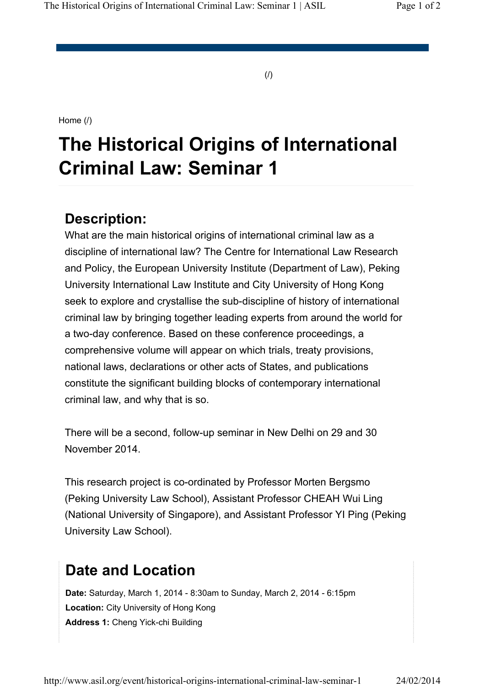(/)

Home (/)

# **The Historical Origins of International Criminal Law: Seminar 1**

### **Description:**

What are the main historical origins of international criminal law as a discipline of international law? The Centre for International Law Research and Policy, the European University Institute (Department of Law), Peking University International Law Institute and City University of Hong Kong seek to explore and crystallise the sub-discipline of history of international criminal law by bringing together leading experts from around the world for a two-day conference. Based on these conference proceedings, a comprehensive volume will appear on which trials, treaty provisions, national laws, declarations or other acts of States, and publications constitute the significant building blocks of contemporary international criminal law, and why that is so.

There will be a second, follow-up seminar in New Delhi on 29 and 30 November 2014.

This research project is co-ordinated by Professor Morten Bergsmo (Peking University Law School), Assistant Professor CHEAH Wui Ling (National University of Singapore), and Assistant Professor YI Ping (Peking University Law School).

## **Date and Location**

**Date:** Saturday, March 1, 2014 - 8:30am to Sunday, March 2, 2014 - 6:15pm **Location:** City University of Hong Kong **Address 1:** Cheng Yick-chi Building

http://www.asil.org/event/historical-origins-international-criminal-law-seminar-1 24/02/2014